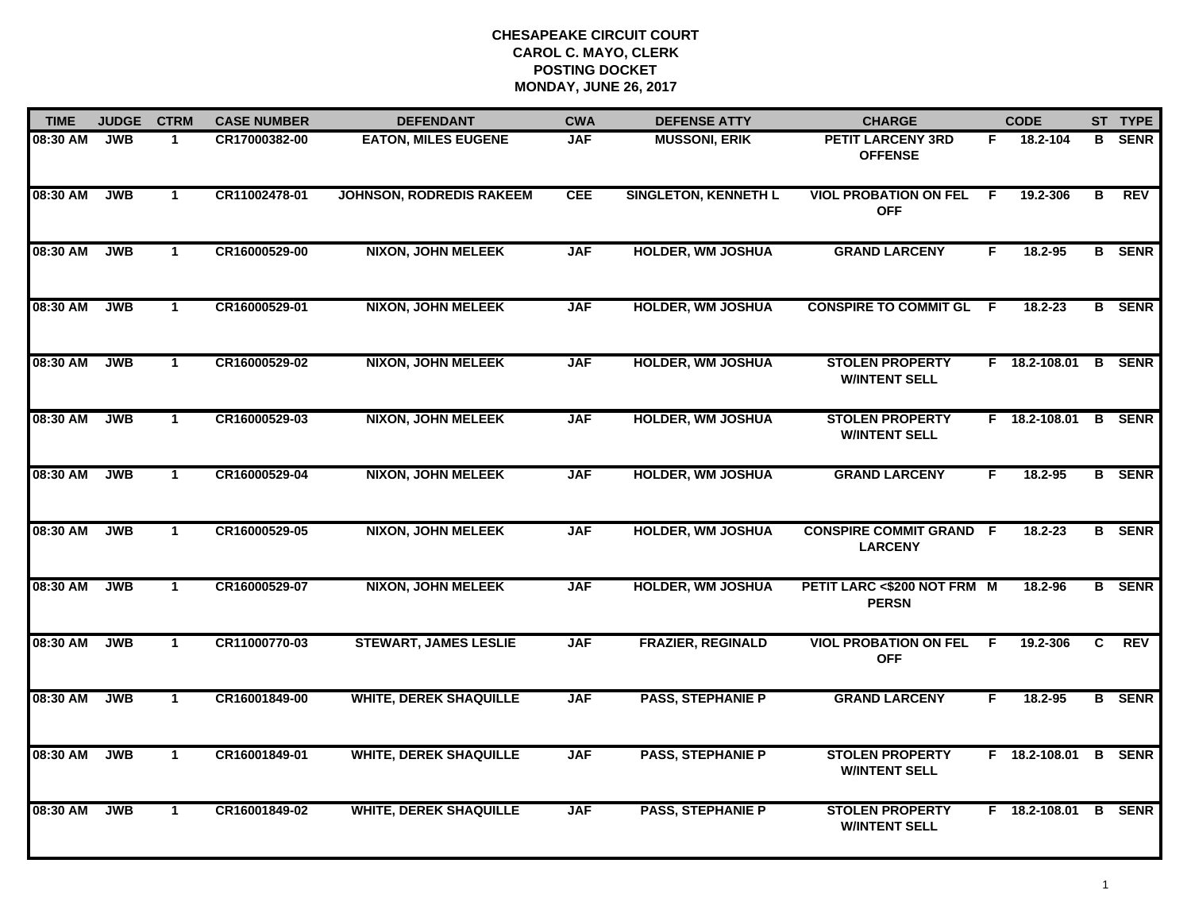| <b>TIME</b> | <b>JUDGE</b> | <b>CTRM</b>  | <b>CASE NUMBER</b> | <b>DEFENDANT</b>                | <b>CWA</b> | <b>DEFENSE ATTY</b>         | <b>CHARGE</b>                                    |    | <b>CODE</b>          |    | ST TYPE       |
|-------------|--------------|--------------|--------------------|---------------------------------|------------|-----------------------------|--------------------------------------------------|----|----------------------|----|---------------|
| 08:30 AM    | <b>JWB</b>   | $\mathbf 1$  | CR17000382-00      | <b>EATON, MILES EUGENE</b>      | <b>JAF</b> | <b>MUSSONI, ERIK</b>        | <b>PETIT LARCENY 3RD</b><br><b>OFFENSE</b>       | F. | 18.2-104             | B  | <b>SENR</b>   |
| 08:30 AM    | <b>JWB</b>   | $\mathbf 1$  | CR11002478-01      | <b>JOHNSON, RODREDIS RAKEEM</b> | <b>CEE</b> | <b>SINGLETON, KENNETH L</b> | <b>VIOL PROBATION ON FEL</b><br><b>OFF</b>       | F. | 19.2-306             | В  | <b>REV</b>    |
| 08:30 AM    | <b>JWB</b>   | $\mathbf{1}$ | CR16000529-00      | <b>NIXON, JOHN MELEEK</b>       | <b>JAF</b> | <b>HOLDER, WM JOSHUA</b>    | <b>GRAND LARCENY</b>                             | F  | 18.2-95              |    | <b>B</b> SENR |
| 08:30 AM    | <b>JWB</b>   | $\mathbf 1$  | CR16000529-01      | NIXON, JOHN MELEEK              | <b>JAF</b> | <b>HOLDER, WM JOSHUA</b>    | <b>CONSPIRE TO COMMIT GL F</b>                   |    | 18.2-23              |    | <b>B</b> SENR |
| 08:30 AM    | <b>JWB</b>   | $\mathbf{1}$ | CR16000529-02      | <b>NIXON, JOHN MELEEK</b>       | <b>JAF</b> | <b>HOLDER, WM JOSHUA</b>    | <b>STOLEN PROPERTY</b><br><b>W/INTENT SELL</b>   |    | F 18.2-108.01        | B  | <b>SENR</b>   |
| 08:30 AM    | <b>JWB</b>   | $\mathbf{1}$ | CR16000529-03      | <b>NIXON, JOHN MELEEK</b>       | <b>JAF</b> | <b>HOLDER, WM JOSHUA</b>    | <b>STOLEN PROPERTY</b><br><b>W/INTENT SELL</b>   |    | F 18.2-108.01        |    | <b>B</b> SENR |
| 08:30 AM    | <b>JWB</b>   | $\mathbf{1}$ | CR16000529-04      | <b>NIXON, JOHN MELEEK</b>       | <b>JAF</b> | <b>HOLDER, WM JOSHUA</b>    | <b>GRAND LARCENY</b>                             | F  | 18.2-95              |    | <b>B</b> SENR |
| 08:30 AM    | <b>JWB</b>   | $\mathbf{1}$ | CR16000529-05      | <b>NIXON, JOHN MELEEK</b>       | <b>JAF</b> | <b>HOLDER, WM JOSHUA</b>    | <b>CONSPIRE COMMIT GRAND F</b><br><b>LARCENY</b> |    | 18.2-23              |    | <b>B</b> SENR |
| 08:30 AM    | <b>JWB</b>   | $\mathbf 1$  | CR16000529-07      | NIXON, JOHN MELEEK              | <b>JAF</b> | <b>HOLDER, WM JOSHUA</b>    | PETIT LARC <\$200 NOT FRM M<br><b>PERSN</b>      |    | 18.2-96              |    | <b>B</b> SENR |
| 08:30 AM    | <b>JWB</b>   | $\mathbf{1}$ | CR11000770-03      | <b>STEWART, JAMES LESLIE</b>    | <b>JAF</b> | <b>FRAZIER, REGINALD</b>    | <b>VIOL PROBATION ON FEL</b><br><b>OFF</b>       | F  | 19.2-306             | C. | <b>REV</b>    |
| 08:30 AM    | <b>JWB</b>   | $\mathbf{1}$ | CR16001849-00      | <b>WHITE, DEREK SHAQUILLE</b>   | <b>JAF</b> | <b>PASS, STEPHANIE P</b>    | <b>GRAND LARCENY</b>                             | F. | $18.2 - 95$          |    | <b>B</b> SENR |
| 08:30 AM    | <b>JWB</b>   | $\mathbf{1}$ | CR16001849-01      | <b>WHITE, DEREK SHAQUILLE</b>   | <b>JAF</b> | <b>PASS, STEPHANIE P</b>    | <b>STOLEN PROPERTY</b><br><b>W/INTENT SELL</b>   |    | F 18.2-108.01 B      |    | <b>SENR</b>   |
| 08:30 AM    | <b>JWB</b>   | $\mathbf{1}$ | CR16001849-02      | <b>WHITE, DEREK SHAQUILLE</b>   | <b>JAF</b> | <b>PASS, STEPHANIE P</b>    | <b>STOLEN PROPERTY</b><br><b>W/INTENT SELL</b>   |    | F 18.2-108.01 B SENR |    |               |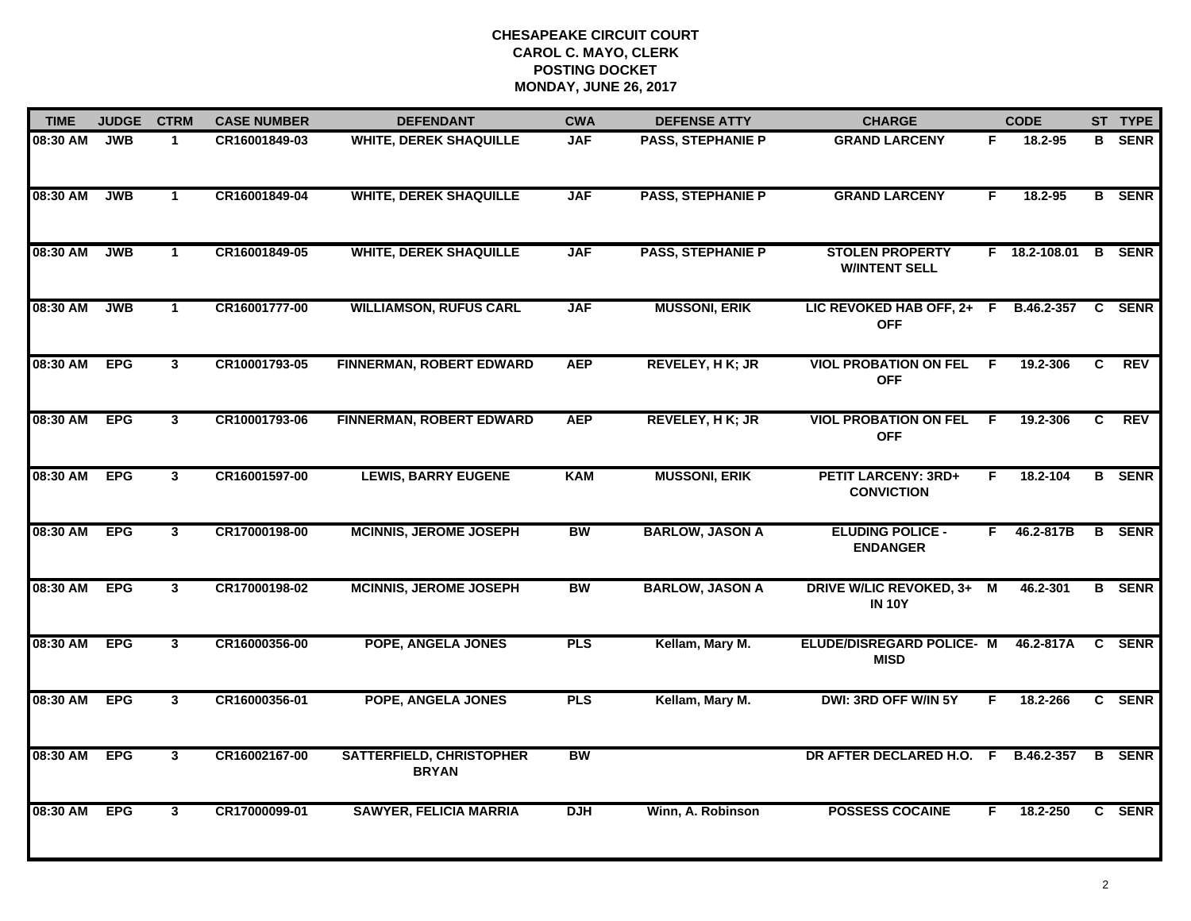| <b>TIME</b> | <b>JUDGE</b> | <b>CTRM</b>  | <b>CASE NUMBER</b> | <b>DEFENDANT</b>                                | <b>CWA</b> | <b>DEFENSE ATTY</b>      | <b>CHARGE</b>                                   |    | <b>CODE</b>   |                | ST TYPE       |
|-------------|--------------|--------------|--------------------|-------------------------------------------------|------------|--------------------------|-------------------------------------------------|----|---------------|----------------|---------------|
| 08:30 AM    | <b>JWB</b>   | $\mathbf{1}$ | CR16001849-03      | <b>WHITE, DEREK SHAQUILLE</b>                   | <b>JAF</b> | <b>PASS, STEPHANIE P</b> | <b>GRAND LARCENY</b>                            | F. | 18.2-95       |                | <b>B</b> SENR |
| 08:30 AM    | <b>JWB</b>   | $\mathbf{1}$ | CR16001849-04      | <b>WHITE, DEREK SHAQUILLE</b>                   | <b>JAF</b> | <b>PASS, STEPHANIE P</b> | <b>GRAND LARCENY</b>                            | F  | 18.2-95       |                | <b>B</b> SENR |
| 08:30 AM    | <b>JWB</b>   | $\mathbf{1}$ | CR16001849-05      | <b>WHITE, DEREK SHAQUILLE</b>                   | <b>JAF</b> | <b>PASS, STEPHANIE P</b> | <b>STOLEN PROPERTY</b><br><b>W/INTENT SELL</b>  |    | F 18.2-108.01 |                | <b>B</b> SENR |
| 08:30 AM    | <b>JWB</b>   | $\mathbf{1}$ | CR16001777-00      | <b>WILLIAMSON, RUFUS CARL</b>                   | <b>JAF</b> | <b>MUSSONI, ERIK</b>     | LIC REVOKED HAB OFF, 2+ F<br><b>OFF</b>         |    | B.46.2-357    |                | C SENR        |
| 08:30 AM    | <b>EPG</b>   | $\mathbf{3}$ | CR10001793-05      | <b>FINNERMAN, ROBERT EDWARD</b>                 | <b>AEP</b> | <b>REVELEY, HK; JR</b>   | <b>VIOL PROBATION ON FEL</b><br><b>OFF</b>      | F. | 19.2-306      | $\mathbf{C}$   | <b>REV</b>    |
| 08:30 AM    | <b>EPG</b>   | $\mathbf{3}$ | CR10001793-06      | <b>FINNERMAN, ROBERT EDWARD</b>                 | <b>AEP</b> | REVELEY, H K; JR         | <b>VIOL PROBATION ON FEL</b><br><b>OFF</b>      | -F | 19.2-306      | C              | <b>REV</b>    |
| 08:30 AM    | <b>EPG</b>   | $\mathbf{3}$ | CR16001597-00      | <b>LEWIS, BARRY EUGENE</b>                      | <b>KAM</b> | <b>MUSSONI, ERIK</b>     | <b>PETIT LARCENY: 3RD+</b><br><b>CONVICTION</b> | F. | 18.2-104      | $\overline{B}$ | <b>SENR</b>   |
| 08:30 AM    | <b>EPG</b>   | $3^{\circ}$  | CR17000198-00      | <b>MCINNIS, JEROME JOSEPH</b>                   | <b>BW</b>  | <b>BARLOW, JASON A</b>   | <b>ELUDING POLICE -</b><br><b>ENDANGER</b>      | F. | 46.2-817B     |                | <b>B</b> SENR |
| 08:30 AM    | <b>EPG</b>   | $\mathbf{3}$ | CR17000198-02      | <b>MCINNIS, JEROME JOSEPH</b>                   | <b>BW</b>  | <b>BARLOW, JASON A</b>   | <b>DRIVE W/LIC REVOKED, 3+</b><br><b>IN 10Y</b> | M  | 46.2-301      |                | <b>B</b> SENR |
| 08:30 AM    | <b>EPG</b>   | $\mathbf{3}$ | CR16000356-00      | <b>POPE, ANGELA JONES</b>                       | <b>PLS</b> | Kellam, Mary M.          | <b>ELUDE/DISREGARD POLICE- M</b><br><b>MISD</b> |    | 46.2-817A     |                | C SENR        |
| 08:30 AM    | <b>EPG</b>   | $\mathbf{3}$ | CR16000356-01      | POPE, ANGELA JONES                              | <b>PLS</b> | Kellam, Mary M.          | DWI: 3RD OFF W/IN 5Y                            | F. | 18.2-266      |                | C SENR        |
| 08:30 AM    | <b>EPG</b>   | $\mathbf{3}$ | CR16002167-00      | <b>SATTERFIELD, CHRISTOPHER</b><br><b>BRYAN</b> | <b>BW</b>  |                          | DR AFTER DECLARED H.O. F                        |    | B.46.2-357    | B              | <b>SENR</b>   |
| 08:30 AM    | <b>EPG</b>   | $\mathbf{3}$ | CR17000099-01      | <b>SAWYER, FELICIA MARRIA</b>                   | <b>DJH</b> | Winn, A. Robinson        | <b>POSSESS COCAINE</b>                          | F. | 18.2-250      |                | C SENR        |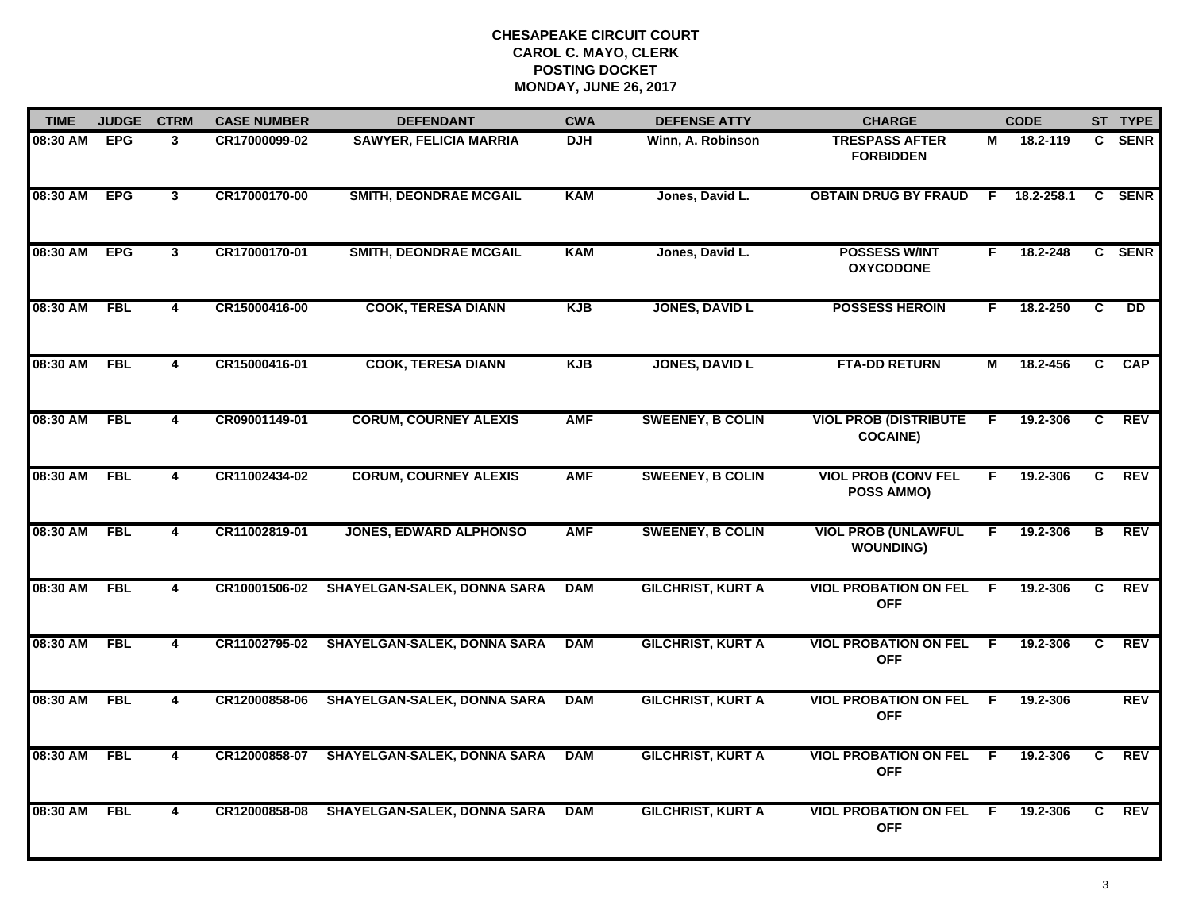| <b>TIME</b>  | <b>JUDGE</b> | <b>CTRM</b>             | <b>CASE NUMBER</b> | <b>DEFENDANT</b>                   | <b>CWA</b> | <b>DEFENSE ATTY</b>      | <b>CHARGE</b>                                   |                | <b>CODE</b> |                | ST TYPE     |
|--------------|--------------|-------------------------|--------------------|------------------------------------|------------|--------------------------|-------------------------------------------------|----------------|-------------|----------------|-------------|
| 08:30 AM EPG |              | 3                       | CR17000099-02      | <b>SAWYER, FELICIA MARRIA</b>      | <b>DJH</b> | Winn, A. Robinson        | <b>TRESPASS AFTER</b><br><b>FORBIDDEN</b>       | М              | 18.2-119    | C.             | <b>SENR</b> |
| 08:30 AM     | <b>EPG</b>   | $\mathbf{3}$            | CR17000170-00      | <b>SMITH, DEONDRAE MCGAIL</b>      | <b>KAM</b> | Jones, David L.          | <b>OBTAIN DRUG BY FRAUD</b>                     | F              | 18.2-258.1  | C.             | <b>SENR</b> |
| 08:30 AM     | <b>EPG</b>   | 3                       | CR17000170-01      | <b>SMITH, DEONDRAE MCGAIL</b>      | <b>KAM</b> | Jones, David L.          | <b>POSSESS W/INT</b><br><b>OXYCODONE</b>        | F.             | 18.2-248    |                | C SENR      |
| 08:30 AM     | <b>FBL</b>   | 4                       | CR15000416-00      | <b>COOK, TERESA DIANN</b>          | <b>KJB</b> | <b>JONES, DAVID L</b>    | <b>POSSESS HEROIN</b>                           | F.             | 18.2-250    | C              | <b>DD</b>   |
| 08:30 AM     | <b>FBL</b>   | 4                       | CR15000416-01      | <b>COOK, TERESA DIANN</b>          | <b>KJB</b> | <b>JONES, DAVID L</b>    | <b>FTA-DD RETURN</b>                            | м              | 18.2-456    | C.             | <b>CAP</b>  |
| 08:30 AM FBL |              | 4                       | CR09001149-01      | <b>CORUM, COURNEY ALEXIS</b>       | <b>AMF</b> | <b>SWEENEY, B COLIN</b>  | <b>VIOL PROB (DISTRIBUTE</b><br><b>COCAINE)</b> | $\overline{F}$ | 19.2-306    | C.             | REV         |
| 08:30 AM     | FBL          | $\overline{4}$          | CR11002434-02      | <b>CORUM, COURNEY ALEXIS</b>       | <b>AMF</b> | <b>SWEENEY, B COLIN</b>  | <b>VIOL PROB (CONV FEL</b><br><b>POSS AMMO)</b> | F.             | 19.2-306    | C              | REV         |
| 08:30 AM     | FBL          | 4                       | CR11002819-01      | <b>JONES, EDWARD ALPHONSO</b>      | <b>AMF</b> | <b>SWEENEY, B COLIN</b>  | <b>VIOL PROB (UNLAWFUL</b><br><b>WOUNDING)</b>  | F.             | 19.2-306    | В              | REV         |
| 08:30 AM     | <b>FBL</b>   | 4                       | CR10001506-02      | <b>SHAYELGAN-SALEK, DONNA SARA</b> | <b>DAM</b> | <b>GILCHRIST, KURT A</b> | <b>VIOL PROBATION ON FEL</b><br><b>OFF</b>      | -F             | 19.2-306    | C              | <b>REV</b>  |
| 08:30 AM     | <b>FBL</b>   | 4                       | CR11002795-02      | <b>SHAYELGAN-SALEK, DONNA SARA</b> | <b>DAM</b> | <b>GILCHRIST, KURT A</b> | <b>VIOL PROBATION ON FEL</b><br><b>OFF</b>      | F.             | 19.2-306    | C              | <b>REV</b>  |
| 08:30 AM     | FBL          | $\overline{\mathbf{4}}$ | CR12000858-06      | <b>SHAYELGAN-SALEK, DONNA SARA</b> | <b>DAM</b> | <b>GILCHRIST, KURT A</b> | <b>VIOL PROBATION ON FEL</b><br><b>OFF</b>      | F.             | 19.2-306    |                | REV         |
| 08:30 AM     | <b>FBL</b>   | $\overline{\mathbf{4}}$ | CR12000858-07      | <b>SHAYELGAN-SALEK, DONNA SARA</b> | <b>DAM</b> | <b>GILCHRIST, KURT A</b> | <b>VIOL PROBATION ON FEL</b><br><b>OFF</b>      | $\overline{F}$ | 19.2-306    | $\overline{c}$ | REV         |
| 08:30 AM     | <b>FBL</b>   | 4                       | CR12000858-08      | <b>SHAYELGAN-SALEK, DONNA SARA</b> | <b>DAM</b> | <b>GILCHRIST, KURT A</b> | <b>VIOL PROBATION ON FEL</b><br><b>OFF</b>      | F.             | 19.2-306    | C.             | <b>REV</b>  |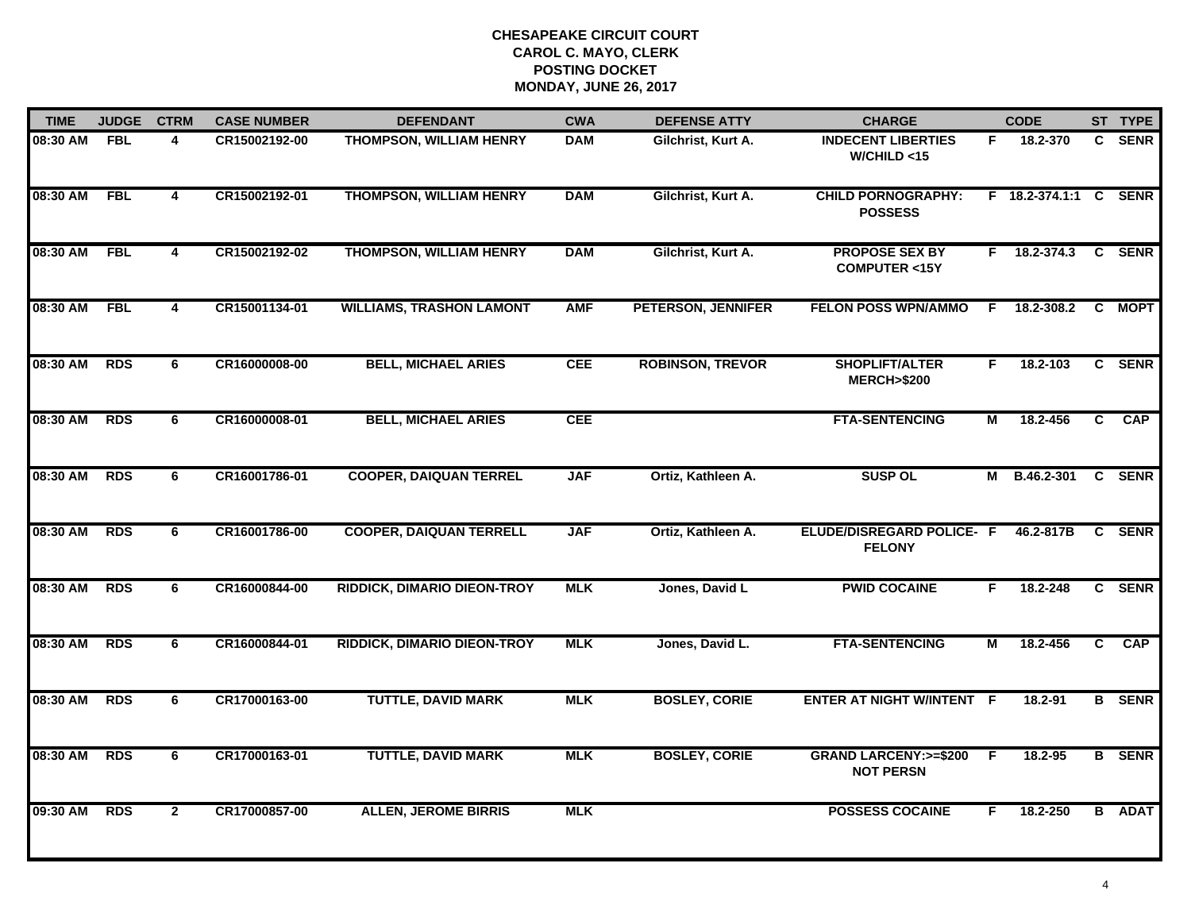| <b>TIME</b> | <b>JUDGE</b> | <b>CTRM</b>             | <b>CASE NUMBER</b> | <b>DEFENDANT</b>                   | <b>CWA</b> | <b>DEFENSE ATTY</b>       | <b>CHARGE</b>                                        |    | <b>CODE</b>           |              | ST TYPE       |
|-------------|--------------|-------------------------|--------------------|------------------------------------|------------|---------------------------|------------------------------------------------------|----|-----------------------|--------------|---------------|
| 08:30 AM    | <b>FBL</b>   | 4                       | CR15002192-00      | <b>THOMPSON, WILLIAM HENRY</b>     | <b>DAM</b> | Gilchrist, Kurt A.        | <b>INDECENT LIBERTIES</b><br>W/CHILD < 15            | F. | 18.2-370              | $\mathbf{c}$ | <b>SENR</b>   |
| 08:30 AM    | <b>FBL</b>   | 4                       | CR15002192-01      | <b>THOMPSON, WILLIAM HENRY</b>     | <b>DAM</b> | Gilchrist, Kurt A.        | <b>CHILD PORNOGRAPHY:</b><br><b>POSSESS</b>          |    | F 18.2-374.1:1 C SENR |              |               |
| 08:30 AM    | <b>FBL</b>   | $\overline{\mathbf{4}}$ | CR15002192-02      | <b>THOMPSON, WILLIAM HENRY</b>     | <b>DAM</b> | Gilchrist, Kurt A.        | <b>PROPOSE SEX BY</b><br><b>COMPUTER &lt;15Y</b>     | F. | 18.2-374.3            |              | C SENR        |
| 08:30 AM    | <b>FBL</b>   | 4                       | CR15001134-01      | <b>WILLIAMS, TRASHON LAMONT</b>    | <b>AMF</b> | <b>PETERSON, JENNIFER</b> | <b>FELON POSS WPN/AMMO</b>                           | F. | 18.2-308.2            |              | C MOPT        |
| 08:30 AM    | <b>RDS</b>   | 6                       | CR16000008-00      | <b>BELL, MICHAEL ARIES</b>         | <b>CEE</b> | <b>ROBINSON, TREVOR</b>   | SHOPLIFT/ALTER<br><b>MERCH&gt;\$200</b>              | F. | 18.2-103              |              | C SENR        |
| 08:30 AM    | <b>RDS</b>   | 6                       | CR16000008-01      | <b>BELL, MICHAEL ARIES</b>         | <b>CEE</b> |                           | <b>FTA-SENTENCING</b>                                | М  | 18.2-456              | C            | <b>CAP</b>    |
| 08:30 AM    | <b>RDS</b>   | 6                       | CR16001786-01      | <b>COOPER, DAIQUAN TERREL</b>      | <b>JAF</b> | Ortiz, Kathleen A.        | <b>SUSP OL</b>                                       | м  | <b>B.46.2-301</b>     | $\mathbf{C}$ | <b>SENR</b>   |
| 08:30 AM    | <b>RDS</b>   | 6                       | CR16001786-00      | <b>COOPER, DAIQUAN TERRELL</b>     | <b>JAF</b> | Ortiz, Kathleen A.        | ELUDE/DISREGARD POLICE- F<br><b>FELONY</b>           |    | 46.2-817B             |              | C SENR        |
| 08:30 AM    | <b>RDS</b>   | 6                       | CR16000844-00      | <b>RIDDICK, DIMARIO DIEON-TROY</b> | <b>MLK</b> | Jones, David L            | <b>PWID COCAINE</b>                                  | F. | 18.2-248              |              | C SENR        |
| 08:30 AM    | <b>RDS</b>   | 6                       | CR16000844-01      | <b>RIDDICK, DIMARIO DIEON-TROY</b> | <b>MLK</b> | Jones, David L.           | <b>FTA-SENTENCING</b>                                | М  | 18.2-456              | C.           | <b>CAP</b>    |
| 08:30 AM    | <b>RDS</b>   | 6                       | CR17000163-00      | <b>TUTTLE, DAVID MARK</b>          | <b>MLK</b> | <b>BOSLEY, CORIE</b>      | <b>ENTER AT NIGHT W/INTENT F</b>                     |    | 18.2-91               |              | <b>B</b> SENR |
| 08:30 AM    | <b>RDS</b>   | 6                       | CR17000163-01      | <b>TUTTLE, DAVID MARK</b>          | <b>MLK</b> | <b>BOSLEY, CORIE</b>      | <b>GRAND LARCENY: &gt;=\$200</b><br><b>NOT PERSN</b> | E  | 18.2-95               |              | <b>B</b> SENR |
| 09:30 AM    | <b>RDS</b>   | $\overline{2}$          | CR17000857-00      | <b>ALLEN, JEROME BIRRIS</b>        | <b>MLK</b> |                           | <b>POSSESS COCAINE</b>                               | F. | 18.2-250              |              | <b>B</b> ADAT |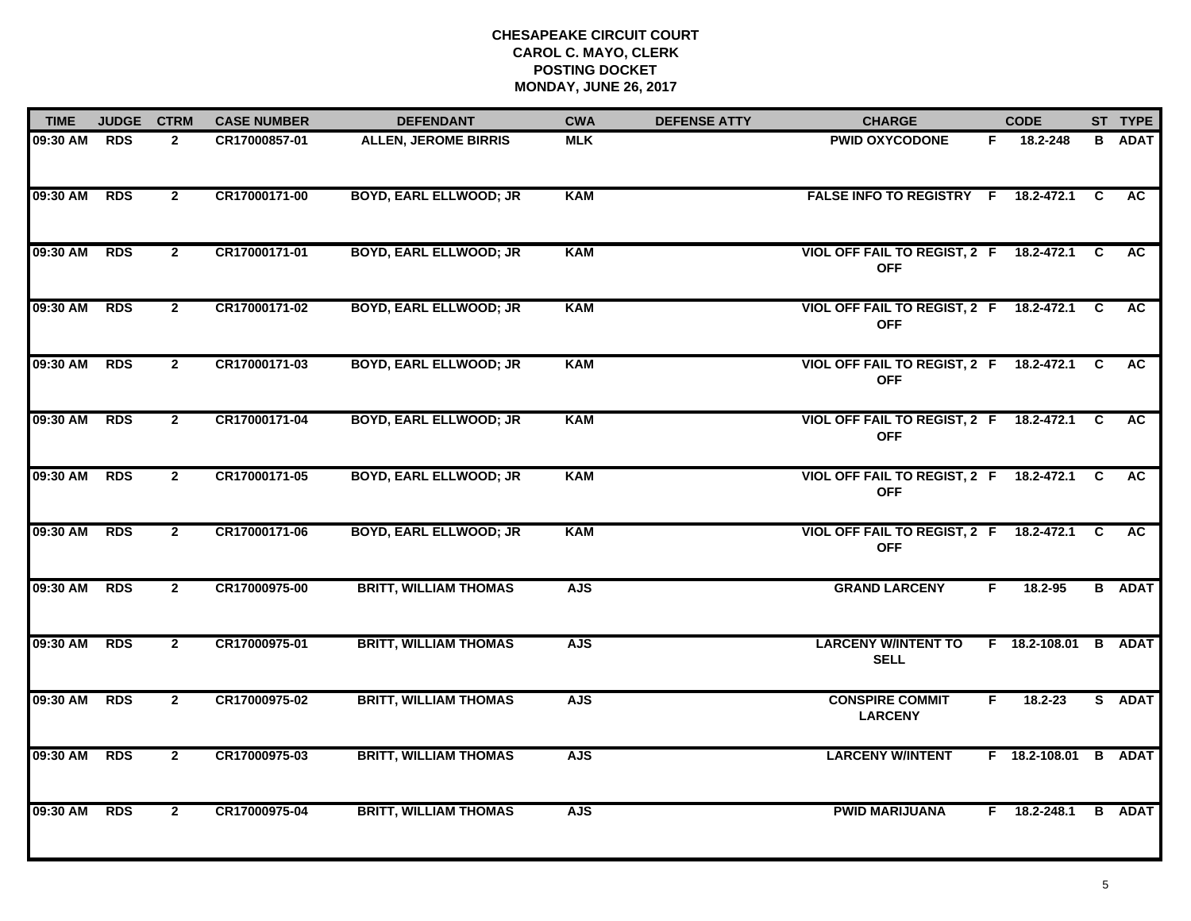| <b>TIME</b> | <b>JUDGE</b> | <b>CTRM</b>    | <b>CASE NUMBER</b> | <b>DEFENDANT</b>              | <b>CWA</b> | <b>DEFENSE ATTY</b> | <b>CHARGE</b>                                           |    | <b>CODE</b>          |    | ST TYPE       |
|-------------|--------------|----------------|--------------------|-------------------------------|------------|---------------------|---------------------------------------------------------|----|----------------------|----|---------------|
| 09:30 AM    | <b>RDS</b>   | $\mathbf{2}$   | CR17000857-01      | <b>ALLEN, JEROME BIRRIS</b>   | <b>MLK</b> |                     | <b>PWID OXYCODONE</b>                                   | F. | 18.2-248             | B. | <b>ADAT</b>   |
| 09:30 AM    | <b>RDS</b>   | $\overline{2}$ | CR17000171-00      | <b>BOYD, EARL ELLWOOD; JR</b> | <b>KAM</b> |                     | FALSE INFO TO REGISTRY F 18.2-472.1 C                   |    |                      |    | <b>AC</b>     |
| 09:30 AM    | <b>RDS</b>   | $\overline{2}$ | CR17000171-01      | <b>BOYD, EARL ELLWOOD; JR</b> | <b>KAM</b> |                     | VIOL OFF FAIL TO REGIST, 2 F<br><b>OFF</b>              |    | 18.2-472.1 C         |    | <b>AC</b>     |
| 09:30 AM    | <b>RDS</b>   | $\mathbf{2}$   | CR17000171-02      | <b>BOYD, EARL ELLWOOD; JR</b> | <b>KAM</b> |                     | VIOL OFF FAIL TO REGIST, 2 F 18.2-472.1<br><b>OFF</b>   |    |                      | C. | <b>AC</b>     |
| 09:30 AM    | <b>RDS</b>   | $\mathbf{2}$   | CR17000171-03      | <b>BOYD, EARL ELLWOOD; JR</b> | <b>KAM</b> |                     | VIOL OFF FAIL TO REGIST, 2 F 18.2-472.1<br><b>OFF</b>   |    |                      | C  | <b>AC</b>     |
| 09:30 AM    | <b>RDS</b>   | $\mathbf{2}$   | CR17000171-04      | <b>BOYD, EARL ELLWOOD; JR</b> | <b>KAM</b> |                     | VIOL OFF FAIL TO REGIST, 2 F 18.2-472.1 C<br><b>OFF</b> |    |                      |    | <b>AC</b>     |
| 09:30 AM    | <b>RDS</b>   | $\overline{2}$ | CR17000171-05      | <b>BOYD, EARL ELLWOOD; JR</b> | <b>KAM</b> |                     | <b>VIOL OFF FAIL TO REGIST, 2 F</b><br><b>OFF</b>       |    | $18.2 - 472.1$ C     |    | AC            |
| 09:30 AM    | <b>RDS</b>   | $\overline{2}$ | CR17000171-06      | <b>BOYD, EARL ELLWOOD; JR</b> | <b>KAM</b> |                     | VIOL OFF FAIL TO REGIST, 2 F<br><b>OFF</b>              |    | 18.2-472.1 C         |    | <b>AC</b>     |
| 09:30 AM    | <b>RDS</b>   | $\mathbf{2}$   | CR17000975-00      | <b>BRITT, WILLIAM THOMAS</b>  | <b>AJS</b> |                     | <b>GRAND LARCENY</b>                                    | F. | $18.2 - 95$          |    | <b>B</b> ADAT |
| 09:30 AM    | <b>RDS</b>   | $\mathbf{2}$   | CR17000975-01      | <b>BRITT, WILLIAM THOMAS</b>  | <b>AJS</b> |                     | <b>LARCENY W/INTENT TO</b><br><b>SELL</b>               |    | $F$ 18.2-108.01      |    | <b>B</b> ADAT |
| 09:30 AM    | <b>RDS</b>   | $\mathbf{2}$   | CR17000975-02      | <b>BRITT, WILLIAM THOMAS</b>  | <b>AJS</b> |                     | <b>CONSPIRE COMMIT</b><br><b>LARCENY</b>                | F. | $18.2 - 23$          |    | S ADAT        |
| 09:30 AM    | <b>RDS</b>   | $\overline{2}$ | CR17000975-03      | <b>BRITT, WILLIAM THOMAS</b>  | <b>AJS</b> |                     | <b>LARCENY W/INTENT</b>                                 |    | F 18.2-108.01 B ADAT |    |               |
| 09:30 AM    | <b>RDS</b>   | $\overline{2}$ | CR17000975-04      | <b>BRITT, WILLIAM THOMAS</b>  | <b>AJS</b> |                     | <b>PWID MARIJUANA</b>                                   |    | F 18.2-248.1         |    | <b>B</b> ADAT |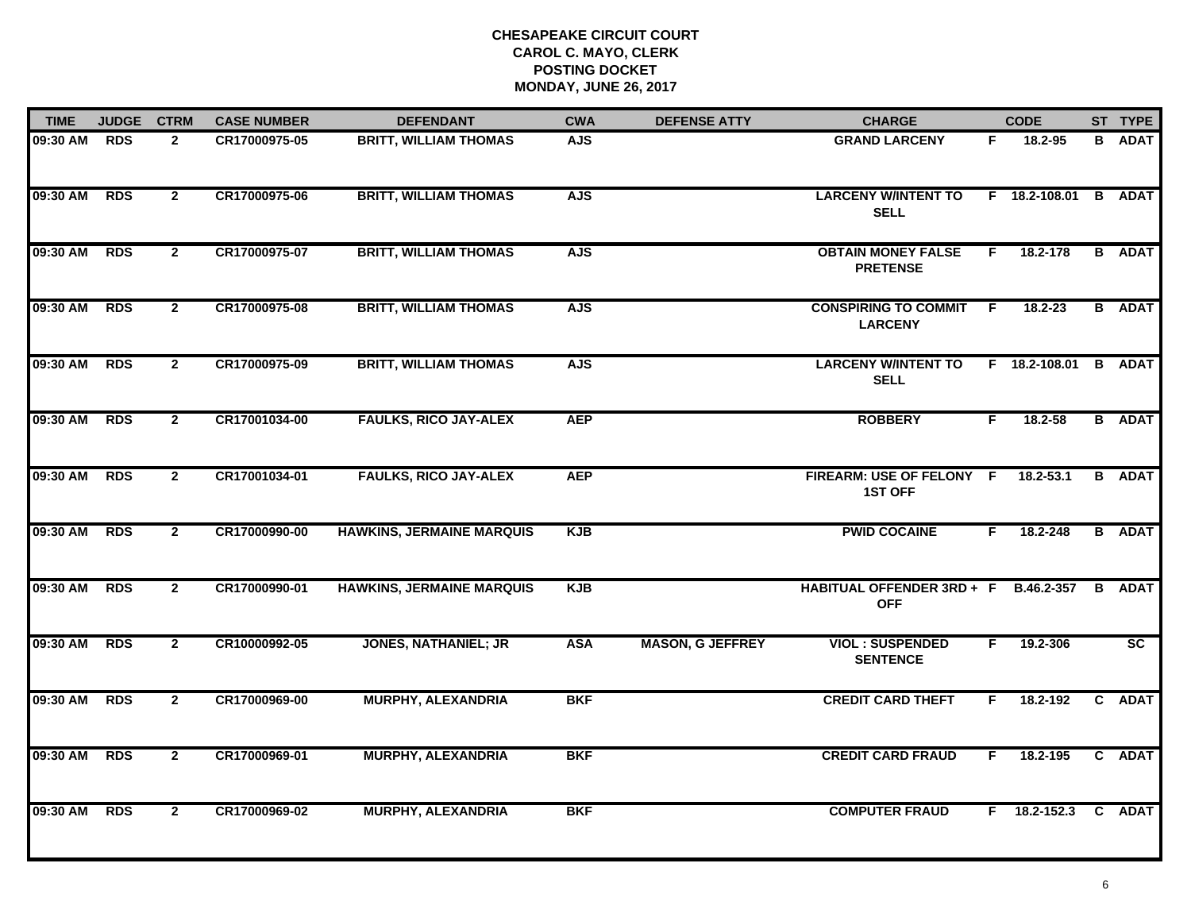| <b>TIME</b> | <b>JUDGE</b> | <b>CTRM</b>    | <b>CASE NUMBER</b> | <b>DEFENDANT</b>                 | <b>CWA</b> | <b>DEFENSE ATTY</b>     | <b>CHARGE</b>                                      |     | <b>CODE</b>          | ST TYPE       |
|-------------|--------------|----------------|--------------------|----------------------------------|------------|-------------------------|----------------------------------------------------|-----|----------------------|---------------|
| 09:30 AM    | <b>RDS</b>   | $\mathbf{2}$   | CR17000975-05      | <b>BRITT, WILLIAM THOMAS</b>     | <b>AJS</b> |                         | <b>GRAND LARCENY</b>                               | F.  | 18.2-95              | <b>B</b> ADAT |
| 09:30 AM    | <b>RDS</b>   | $\mathbf{2}$   | CR17000975-06      | <b>BRITT, WILLIAM THOMAS</b>     | <b>AJS</b> |                         | <b>LARCENY W/INTENT TO</b><br><b>SELL</b>          |     | F 18.2-108.01 B ADAT |               |
| 09:30 AM    | <b>RDS</b>   | $\overline{2}$ | CR17000975-07      | <b>BRITT, WILLIAM THOMAS</b>     | <b>AJS</b> |                         | <b>OBTAIN MONEY FALSE</b><br><b>PRETENSE</b>       | F.  | 18.2-178             | <b>B</b> ADAT |
| 09:30 AM    | <b>RDS</b>   | $\mathbf{2}$   | CR17000975-08      | <b>BRITT, WILLIAM THOMAS</b>     | <b>AJS</b> |                         | <b>CONSPIRING TO COMMIT</b><br><b>LARCENY</b>      | - F | $18.2 - 23$          | <b>B</b> ADAT |
| 09:30 AM    | <b>RDS</b>   | $\mathbf{2}$   | CR17000975-09      | <b>BRITT, WILLIAM THOMAS</b>     | <b>AJS</b> |                         | <b>LARCENY W/INTENT TO</b><br><b>SELL</b>          |     | F 18.2-108.01        | <b>B</b> ADAT |
| 09:30 AM    | <b>RDS</b>   | $\mathbf{2}$   | CR17001034-00      | <b>FAULKS, RICO JAY-ALEX</b>     | <b>AEP</b> |                         | <b>ROBBERY</b>                                     | F.  | $18.2 - 58$          | <b>B</b> ADAT |
| 09:30 AM    | <b>RDS</b>   | $\overline{2}$ | CR17001034-01      | <b>FAULKS, RICO JAY-ALEX</b>     | <b>AEP</b> |                         | FIREARM: USE OF FELONY F<br><b>1ST OFF</b>         |     | $18.2 - 53.1$        | <b>B</b> ADAT |
| 09:30 AM    | <b>RDS</b>   | $\mathbf{2}$   | CR17000990-00      | <b>HAWKINS, JERMAINE MARQUIS</b> | <b>KJB</b> |                         | <b>PWID COCAINE</b>                                | F.  | 18.2-248             | <b>B</b> ADAT |
| 09:30 AM    | <b>RDS</b>   | $\mathbf{2}$   | CR17000990-01      | <b>HAWKINS, JERMAINE MARQUIS</b> | <b>KJB</b> |                         | HABITUAL OFFENDER 3RD + F B.46.2-357<br><b>OFF</b> |     |                      | <b>B</b> ADAT |
| 09:30 AM    | <b>RDS</b>   | $\mathbf{2}$   | CR10000992-05      | <b>JONES, NATHANIEL; JR</b>      | <b>ASA</b> | <b>MASON, G JEFFREY</b> | <b>VIOL: SUSPENDED</b><br><b>SENTENCE</b>          | F.  | 19.2-306             | SC            |
| 09:30 AM    | <b>RDS</b>   | $\mathbf{2}$   | CR17000969-00      | <b>MURPHY, ALEXANDRIA</b>        | <b>BKF</b> |                         | <b>CREDIT CARD THEFT</b>                           | F.  | 18.2-192             | C ADAT        |
| 09:30 AM    | <b>RDS</b>   | $\overline{2}$ | CR17000969-01      | <b>MURPHY, ALEXANDRIA</b>        | <b>BKF</b> |                         | <b>CREDIT CARD FRAUD</b>                           | F.  | 18.2-195             | C ADAT        |
| 09:30 AM    | <b>RDS</b>   | $\mathbf{2}$   | CR17000969-02      | <b>MURPHY, ALEXANDRIA</b>        | <b>BKF</b> |                         | <b>COMPUTER FRAUD</b>                              |     | $F$ 18.2-152.3       | C ADAT        |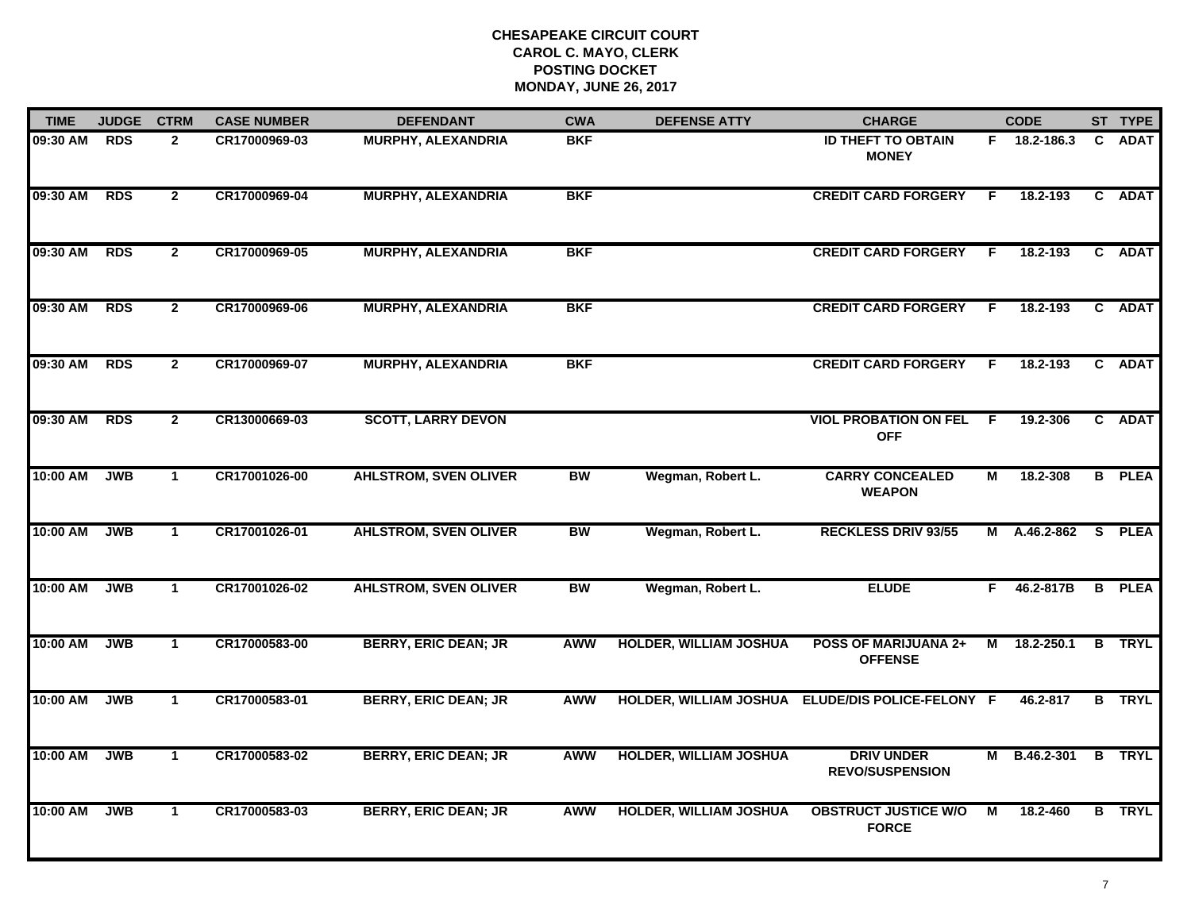| <b>TIME</b> | <b>JUDGE</b> | <b>CTRM</b>    | <b>CASE NUMBER</b> | <b>DEFENDANT</b>             | <b>CWA</b> | <b>DEFENSE ATTY</b>           | <b>CHARGE</b>                                    |                | <b>CODE</b>  |   | ST TYPE       |
|-------------|--------------|----------------|--------------------|------------------------------|------------|-------------------------------|--------------------------------------------------|----------------|--------------|---|---------------|
| 09:30 AM    | <b>RDS</b>   | $\overline{2}$ | CR17000969-03      | <b>MURPHY, ALEXANDRIA</b>    | <b>BKF</b> |                               | <b>ID THEFT TO OBTAIN</b><br><b>MONEY</b>        |                | F 18.2-186.3 |   | C ADAT        |
| 09:30 AM    | <b>RDS</b>   | $\overline{2}$ | CR17000969-04      | <b>MURPHY, ALEXANDRIA</b>    | <b>BKF</b> |                               | <b>CREDIT CARD FORGERY</b>                       | F.             | 18.2-193     |   | C ADAT        |
| 09:30 AM    | <b>RDS</b>   | $\overline{2}$ | CR17000969-05      | <b>MURPHY, ALEXANDRIA</b>    | <b>BKF</b> |                               | <b>CREDIT CARD FORGERY</b>                       | F              | 18.2-193     |   | C ADAT        |
| 09:30 AM    | <b>RDS</b>   | $\overline{2}$ | CR17000969-06      | <b>MURPHY, ALEXANDRIA</b>    | <b>BKF</b> |                               | <b>CREDIT CARD FORGERY</b>                       | F.             | 18.2-193     |   | C ADAT        |
| 09:30 AM    | <b>RDS</b>   | $\overline{2}$ | CR17000969-07      | <b>MURPHY, ALEXANDRIA</b>    | <b>BKF</b> |                               | <b>CREDIT CARD FORGERY</b>                       | F.             | 18.2-193     |   | C ADAT        |
| 09:30 AM    | <b>RDS</b>   | $\mathbf{2}$   | CR13000669-03      | <b>SCOTT, LARRY DEVON</b>    |            |                               | <b>VIOL PROBATION ON FEL</b><br><b>OFF</b>       | -F.            | 19.2-306     |   | C ADAT        |
| 10:00 AM    | <b>JWB</b>   | $\mathbf{1}$   | CR17001026-00      | <b>AHLSTROM, SVEN OLIVER</b> | <b>BW</b>  | Wegman, Robert L.             | <b>CARRY CONCEALED</b><br><b>WEAPON</b>          | $\overline{M}$ | 18.2-308     |   | <b>B</b> PLEA |
| 10:00 AM    | <b>JWB</b>   | $\mathbf{1}$   | CR17001026-01      | <b>AHLSTROM, SVEN OLIVER</b> | <b>BW</b>  | Wegman, Robert L.             | <b>RECKLESS DRIV 93/55</b>                       |                | M A.46.2-862 |   | S PLEA        |
| 10:00 AM    | <b>JWB</b>   | $\mathbf 1$    | CR17001026-02      | <b>AHLSTROM, SVEN OLIVER</b> | <b>BW</b>  | Wegman, Robert L.             | <b>ELUDE</b>                                     | F              | 46.2-817B    |   | <b>B</b> PLEA |
| 10:00 AM    | <b>JWB</b>   | $\mathbf{1}$   | CR17000583-00      | <b>BERRY, ERIC DEAN; JR</b>  | <b>AWW</b> | <b>HOLDER, WILLIAM JOSHUA</b> | <b>POSS OF MARIJUANA 2+</b><br><b>OFFENSE</b>    | М              | 18.2-250.1   | B | <b>TRYL</b>   |
| 10:00 AM    | <b>JWB</b>   | $\mathbf 1$    | CR17000583-01      | <b>BERRY, ERIC DEAN; JR</b>  | <b>AWW</b> |                               | HOLDER, WILLIAM JOSHUA ELUDE/DIS POLICE-FELONY F |                | 46.2-817     | B | <b>TRYL</b>   |
| 10:00 AM    | <b>JWB</b>   | $\mathbf{1}$   | CR17000583-02      | <b>BERRY, ERIC DEAN; JR</b>  | <b>AWW</b> | <b>HOLDER, WILLIAM JOSHUA</b> | <b>DRIV UNDER</b><br><b>REVO/SUSPENSION</b>      | М              | B.46.2-301   |   | <b>B</b> TRYL |
| 10:00 AM    | <b>JWB</b>   | $\mathbf 1$    | CR17000583-03      | <b>BERRY, ERIC DEAN; JR</b>  | <b>AWW</b> | <b>HOLDER, WILLIAM JOSHUA</b> | <b>OBSTRUCT JUSTICE W/O</b><br><b>FORCE</b>      | М              | 18.2-460     |   | <b>B</b> TRYL |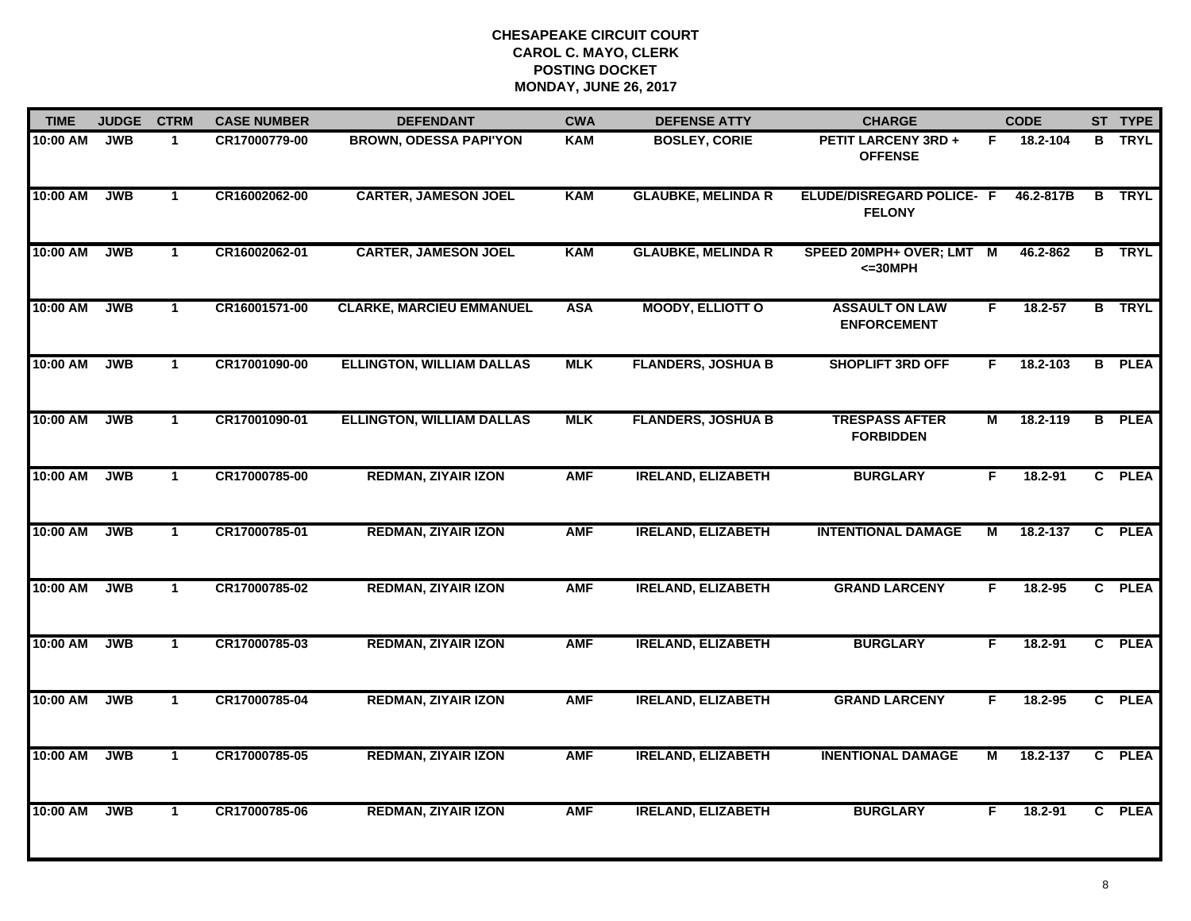| <b>TIME</b> | <b>JUDGE</b> | <b>CTRM</b>    | <b>CASE NUMBER</b> | <b>DEFENDANT</b>                 | <b>CWA</b> | <b>DEFENSE ATTY</b>       | <b>CHARGE</b>                                |                | <b>CODE</b> |   | ST TYPE       |
|-------------|--------------|----------------|--------------------|----------------------------------|------------|---------------------------|----------------------------------------------|----------------|-------------|---|---------------|
| 10:00 AM    | <b>JWB</b>   | $\mathbf{1}$   | CR17000779-00      | <b>BROWN, ODESSA PAPI'YON</b>    | <b>KAM</b> | <b>BOSLEY, CORIE</b>      | <b>PETIT LARCENY 3RD +</b><br><b>OFFENSE</b> | F.             | 18.2-104    |   | <b>B</b> TRYL |
| 10:00 AM    | <b>JWB</b>   | $\mathbf{1}$   | CR16002062-00      | <b>CARTER, JAMESON JOEL</b>      | <b>KAM</b> | <b>GLAUBKE, MELINDA R</b> | ELUDE/DISREGARD POLICE- F<br><b>FELONY</b>   |                | 46.2-817B   | B | <b>TRYL</b>   |
| 10:00 AM    | <b>JWB</b>   | $\mathbf{1}$   | CR16002062-01      | <b>CARTER, JAMESON JOEL</b>      | <b>KAM</b> | <b>GLAUBKE, MELINDA R</b> | SPEED 20MPH+ OVER; LMT M<br>$<=30MPH$        |                | 46.2-862    |   | <b>B</b> TRYL |
| 10:00 AM    | <b>JWB</b>   | $\mathbf{1}$   | CR16001571-00      | <b>CLARKE, MARCIEU EMMANUEL</b>  | <b>ASA</b> | <b>MOODY, ELLIOTT O</b>   | <b>ASSAULT ON LAW</b><br><b>ENFORCEMENT</b>  | F.             | 18.2-57     |   | <b>B</b> TRYL |
| 10:00 AM    | <b>JWB</b>   | $\mathbf{1}$   | CR17001090-00      | <b>ELLINGTON, WILLIAM DALLAS</b> | <b>MLK</b> | <b>FLANDERS, JOSHUA B</b> | <b>SHOPLIFT 3RD OFF</b>                      | F.             | 18.2-103    |   | <b>B</b> PLEA |
| 10:00 AM    | <b>JWB</b>   | $\mathbf{1}$   | CR17001090-01      | <b>ELLINGTON, WILLIAM DALLAS</b> | <b>MLK</b> | <b>FLANDERS, JOSHUA B</b> | <b>TRESPASS AFTER</b><br><b>FORBIDDEN</b>    | $\overline{M}$ | 18.2-119    |   | <b>B</b> PLEA |
| 10:00 AM    | <b>JWB</b>   | $\overline{1}$ | CR17000785-00      | <b>REDMAN, ZIYAIR IZON</b>       | <b>AMF</b> | <b>IRELAND, ELIZABETH</b> | <b>BURGLARY</b>                              | F.             | 18.2-91     |   | C PLEA        |
| 10:00 AM    | <b>JWB</b>   | $\mathbf{1}$   | CR17000785-01      | <b>REDMAN, ZIYAIR IZON</b>       | <b>AMF</b> | <b>IRELAND, ELIZABETH</b> | <b>INTENTIONAL DAMAGE</b>                    | М              | 18.2-137    |   | C PLEA        |
| 10:00 AM    | <b>JWB</b>   | $\mathbf{1}$   | CR17000785-02      | <b>REDMAN, ZIYAIR IZON</b>       | <b>AMF</b> | <b>IRELAND, ELIZABETH</b> | <b>GRAND LARCENY</b>                         | F              | $18.2 - 95$ |   | C PLEA        |
| 10:00 AM    | <b>JWB</b>   | $\mathbf{1}$   | CR17000785-03      | <b>REDMAN, ZIYAIR IZON</b>       | <b>AMF</b> | <b>IRELAND, ELIZABETH</b> | <b>BURGLARY</b>                              | F.             | $18.2 - 91$ |   | C PLEA        |
| 10:00 AM    | <b>JWB</b>   | $\mathbf{1}$   | CR17000785-04      | <b>REDMAN, ZIYAIR IZON</b>       | <b>AMF</b> | <b>IRELAND, ELIZABETH</b> | <b>GRAND LARCENY</b>                         | F.             | 18.2-95     |   | C PLEA        |
| 10:00 AM    | <b>JWB</b>   | $\mathbf{1}$   | CR17000785-05      | <b>REDMAN, ZIYAIR IZON</b>       | <b>AMF</b> | <b>IRELAND, ELIZABETH</b> | <b>INENTIONAL DAMAGE</b>                     | М              | 18.2-137    |   | C PLEA        |
| 10:00 AM    | <b>JWB</b>   | $\mathbf{1}$   | CR17000785-06      | <b>REDMAN, ZIYAIR IZON</b>       | <b>AMF</b> | <b>IRELAND, ELIZABETH</b> | <b>BURGLARY</b>                              | F.             | 18.2-91     |   | C PLEA        |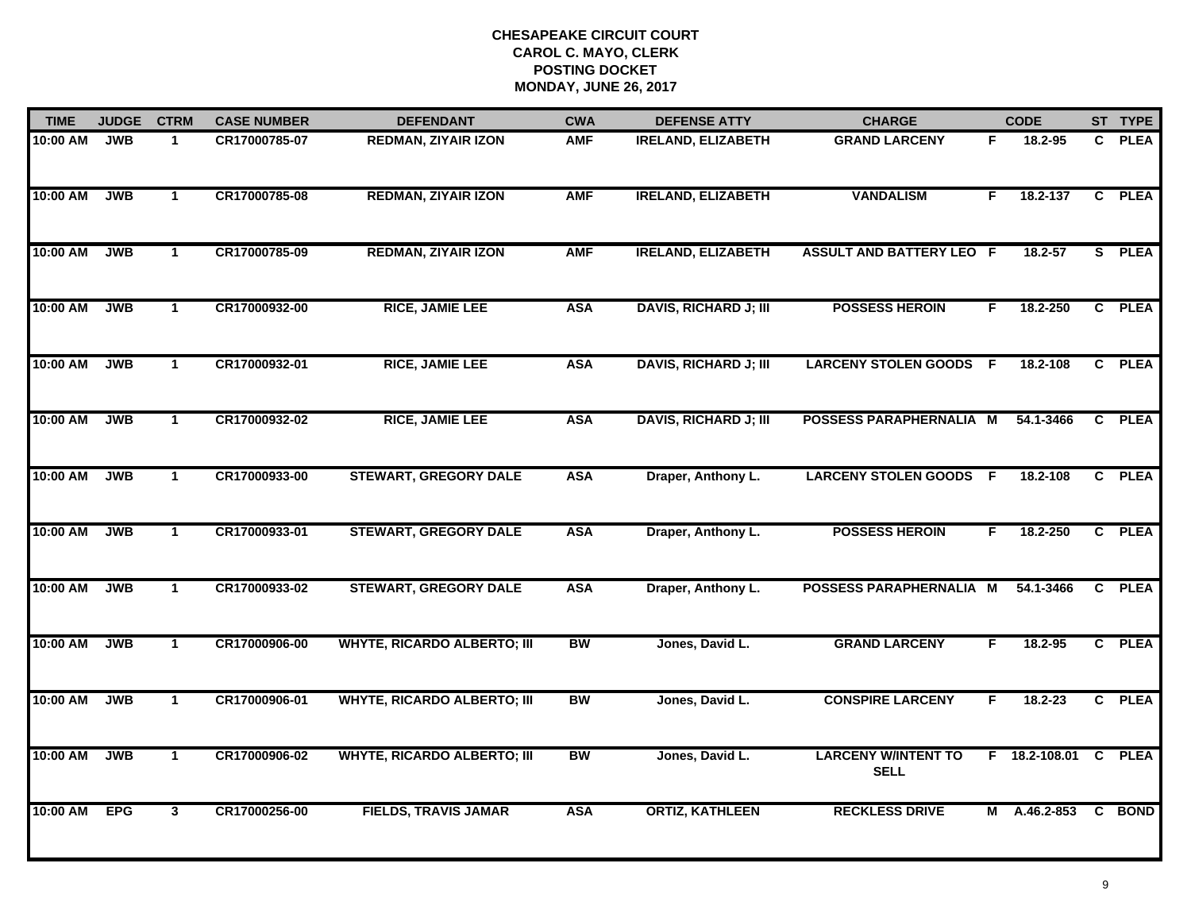| <b>TIME</b> | <b>JUDGE</b> | <b>CTRM</b>  | <b>CASE NUMBER</b> | <b>DEFENDANT</b>                   | <b>CWA</b> | <b>DEFENSE ATTY</b>          | <b>CHARGE</b>                             |    | <b>CODE</b>   |              | ST TYPE     |
|-------------|--------------|--------------|--------------------|------------------------------------|------------|------------------------------|-------------------------------------------|----|---------------|--------------|-------------|
| 10:00 AM    | <b>JWB</b>   | $\mathbf{1}$ | CR17000785-07      | <b>REDMAN, ZIYAIR IZON</b>         | <b>AMF</b> | <b>IRELAND, ELIZABETH</b>    | <b>GRAND LARCENY</b>                      | F. | 18.2-95       | C.           | <b>PLEA</b> |
| 10:00 AM    | <b>JWB</b>   | $\mathbf{1}$ | CR17000785-08      | <b>REDMAN, ZIYAIR IZON</b>         | <b>AMF</b> | <b>IRELAND, ELIZABETH</b>    | <b>VANDALISM</b>                          | F. | 18.2-137      |              | C PLEA      |
| 10:00 AM    | <b>JWB</b>   | $\mathbf{1}$ | CR17000785-09      | <b>REDMAN, ZIYAIR IZON</b>         | <b>AMF</b> | <b>IRELAND, ELIZABETH</b>    | <b>ASSULT AND BATTERY LEO F</b>           |    | 18.2-57       |              | S PLEA      |
| 10:00 AM    | <b>JWB</b>   | $\mathbf{1}$ | CR17000932-00      | <b>RICE, JAMIE LEE</b>             | <b>ASA</b> | <b>DAVIS, RICHARD J; III</b> | <b>POSSESS HEROIN</b>                     | F. | 18.2-250      |              | C PLEA      |
| 10:00 AM    | <b>JWB</b>   | $\mathbf{1}$ | CR17000932-01      | <b>RICE, JAMIE LEE</b>             | <b>ASA</b> | <b>DAVIS, RICHARD J; III</b> | <b>LARCENY STOLEN GOODS</b>               | F. | 18.2-108      |              | C PLEA      |
| 10:00 AM    | <b>JWB</b>   | $\mathbf{1}$ | CR17000932-02      | <b>RICE, JAMIE LEE</b>             | <b>ASA</b> | <b>DAVIS, RICHARD J; III</b> | <b>POSSESS PARAPHERNALIA M</b>            |    | 54.1-3466     |              | C PLEA      |
| 10:00 AM    | <b>JWB</b>   | $\mathbf{1}$ | CR17000933-00      | <b>STEWART, GREGORY DALE</b>       | <b>ASA</b> | Draper, Anthony L.           | <b>LARCENY STOLEN GOODS F</b>             |    | 18.2-108      | $\mathbf{C}$ | <b>PLEA</b> |
| 10:00 AM    | <b>JWB</b>   | $\mathbf{1}$ | CR17000933-01      | <b>STEWART, GREGORY DALE</b>       | <b>ASA</b> | Draper, Anthony L.           | <b>POSSESS HEROIN</b>                     | F  | 18.2-250      |              | C PLEA      |
| 10:00 AM    | <b>JWB</b>   | $\mathbf{1}$ | CR17000933-02      | <b>STEWART, GREGORY DALE</b>       | <b>ASA</b> | Draper, Anthony L.           | POSSESS PARAPHERNALIA M                   |    | 54.1-3466     |              | C PLEA      |
| 10:00 AM    | <b>JWB</b>   | $\mathbf{1}$ | CR17000906-00      | <b>WHYTE, RICARDO ALBERTO; III</b> | <b>BW</b>  | Jones, David L.              | <b>GRAND LARCENY</b>                      | F  | $18.2 - 95$   |              | C PLEA      |
| 10:00 AM    | <b>JWB</b>   | $\mathbf{1}$ | CR17000906-01      | <b>WHYTE, RICARDO ALBERTO; III</b> | <b>BW</b>  | Jones, David L.              | <b>CONSPIRE LARCENY</b>                   | F. | $18.2 - 23$   |              | C PLEA      |
| 10:00 AM    | <b>JWB</b>   | $\mathbf{1}$ | CR17000906-02      | <b>WHYTE, RICARDO ALBERTO; III</b> | BW         | Jones, David L.              | <b>LARCENY W/INTENT TO</b><br><b>SELL</b> |    | F 18.2-108.01 | C            | <b>PLEA</b> |
| 10:00 AM    | <b>EPG</b>   | 3            | CR17000256-00      | <b>FIELDS, TRAVIS JAMAR</b>        | <b>ASA</b> | <b>ORTIZ, KATHLEEN</b>       | <b>RECKLESS DRIVE</b>                     | M  | A.46.2-853    |              | C BOND      |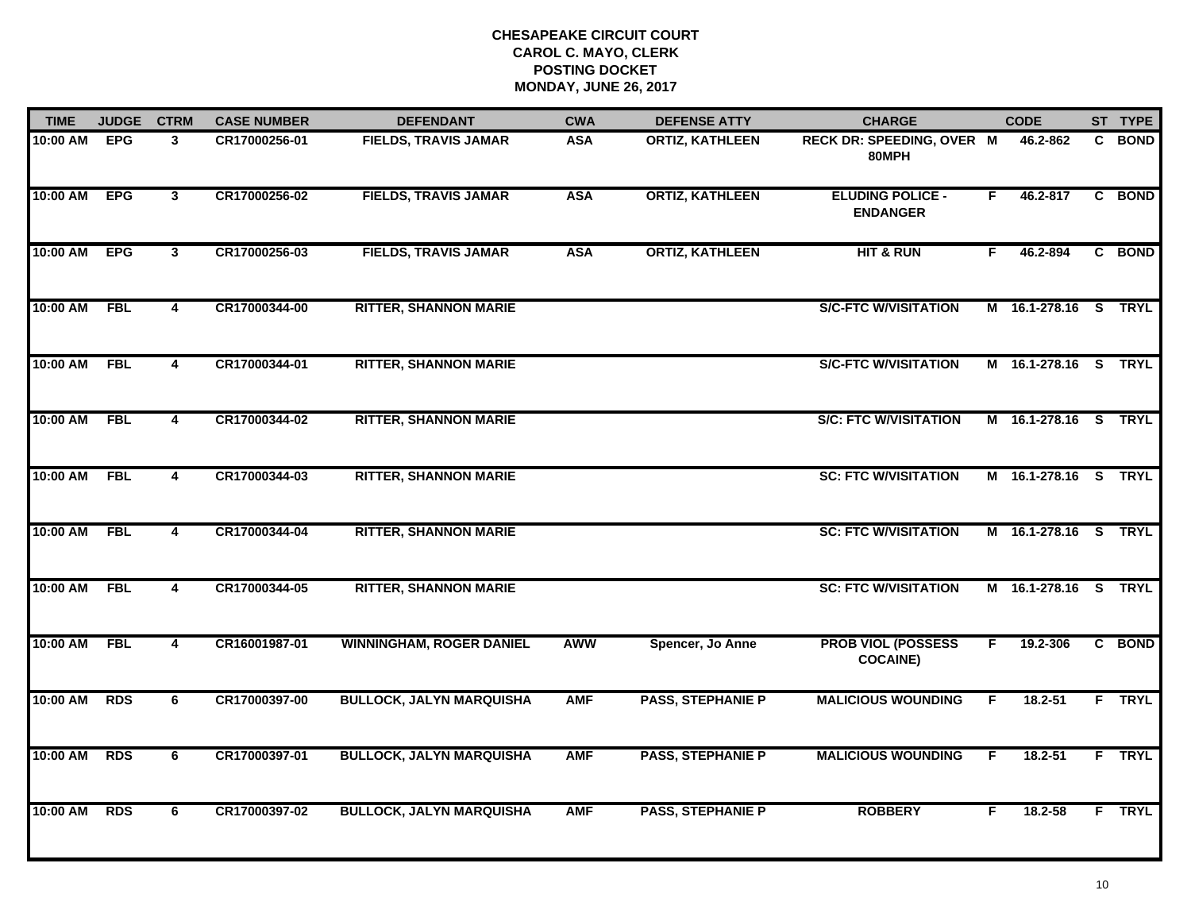| <b>TIME</b> | <b>JUDGE</b> | <b>CTRM</b>             | <b>CASE NUMBER</b> | <b>DEFENDANT</b>                | <b>CWA</b> | <b>DEFENSE ATTY</b>      | <b>CHARGE</b>                                |    | <b>CODE</b>          |    | ST TYPE       |
|-------------|--------------|-------------------------|--------------------|---------------------------------|------------|--------------------------|----------------------------------------------|----|----------------------|----|---------------|
| 10:00 AM    | <b>EPG</b>   | 3                       | CR17000256-01      | <b>FIELDS, TRAVIS JAMAR</b>     | <b>ASA</b> | <b>ORTIZ, KATHLEEN</b>   | <b>RECK DR: SPEEDING, OVER M</b><br>80MPH    |    | 46.2-862             |    | C BOND        |
| 10:00 AM    | <b>EPG</b>   | $\mathbf{3}$            | CR17000256-02      | <b>FIELDS, TRAVIS JAMAR</b>     | <b>ASA</b> | <b>ORTIZ, KATHLEEN</b>   | <b>ELUDING POLICE -</b><br><b>ENDANGER</b>   | F. | 46.2-817             |    | C BOND        |
| 10:00 AM    | <b>EPG</b>   | $\mathbf{3}$            | CR17000256-03      | <b>FIELDS, TRAVIS JAMAR</b>     | <b>ASA</b> | <b>ORTIZ, KATHLEEN</b>   | <b>HIT &amp; RUN</b>                         | F. | 46.2-894             |    | C BOND        |
| 10:00 AM    | <b>FBL</b>   | 4                       | CR17000344-00      | <b>RITTER, SHANNON MARIE</b>    |            |                          | <b>S/C-FTC W/VISITATION</b>                  |    | M 16.1-278.16 S TRYL |    |               |
| 10:00 AM    | <b>FBL</b>   | $\overline{\mathbf{4}}$ | CR17000344-01      | <b>RITTER, SHANNON MARIE</b>    |            |                          | <b>S/C-FTC W/VISITATION</b>                  |    | M 16.1-278.16 S      |    | <b>TRYL</b>   |
| 10:00 AM    | FBL          | $\overline{\mathbf{4}}$ | CR17000344-02      | <b>RITTER, SHANNON MARIE</b>    |            |                          | <b>S/C: FTC W/VISITATION</b>                 |    | M 16.1-278.16 S TRYL |    |               |
| 10:00 AM    | <b>FBL</b>   | 4                       | CR17000344-03      | <b>RITTER, SHANNON MARIE</b>    |            |                          | <b>SC: FTC W/VISITATION</b>                  |    | M 16.1-278.16 S TRYL |    |               |
| 10:00 AM    | <b>FBL</b>   | 4                       | CR17000344-04      | <b>RITTER, SHANNON MARIE</b>    |            |                          | <b>SC: FTC W/VISITATION</b>                  |    | M 16.1-278.16 S TRYL |    |               |
| 10:00 AM    | <b>FBL</b>   | 4                       | CR17000344-05      | <b>RITTER, SHANNON MARIE</b>    |            |                          | <b>SC: FTC W/VISITATION</b>                  |    | M 16.1-278.16 S TRYL |    |               |
| 10:00 AM    | <b>FBL</b>   | $\overline{\mathbf{4}}$ | CR16001987-01      | <b>WINNINGHAM, ROGER DANIEL</b> | <b>AWW</b> | Spencer, Jo Anne         | <b>PROB VIOL (POSSESS</b><br><b>COCAINE)</b> | F  | 19.2-306             |    | C BOND        |
| 10:00 AM    | <b>RDS</b>   | 6                       | CR17000397-00      | <b>BULLOCK, JALYN MARQUISHA</b> | <b>AMF</b> | <b>PASS, STEPHANIE P</b> | <b>MALICIOUS WOUNDING</b>                    | F. | 18.2-51              |    | <b>F</b> TRYL |
| 10:00 AM    | <b>RDS</b>   | 6                       | CR17000397-01      | <b>BULLOCK, JALYN MARQUISHA</b> | <b>AMF</b> | <b>PASS, STEPHANIE P</b> | <b>MALICIOUS WOUNDING</b>                    | F. | $18.2 - 51$          |    | F TRYL        |
| 10:00 AM    | <b>RDS</b>   | 6                       | CR17000397-02      | <b>BULLOCK, JALYN MARQUISHA</b> | <b>AMF</b> | <b>PASS, STEPHANIE P</b> | <b>ROBBERY</b>                               | F. | 18.2-58              | F. | <b>TRYL</b>   |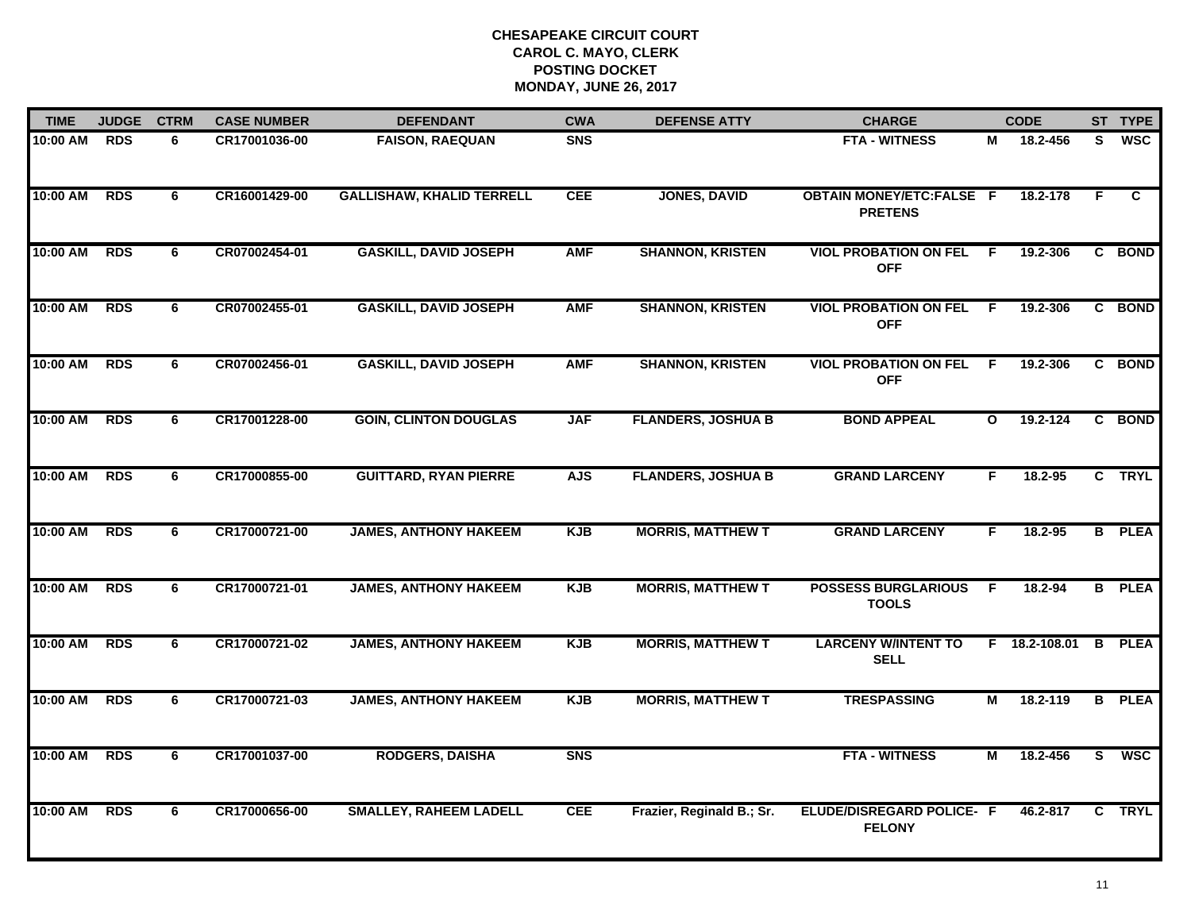| <b>TIME</b> | <b>JUDGE</b> | <b>CTRM</b> | <b>CASE NUMBER</b> | <b>DEFENDANT</b>                 | <b>CWA</b>     | <b>DEFENSE ATTY</b>       | <b>CHARGE</b>                                     |              | <b>CODE</b>   |                         | ST TYPE       |
|-------------|--------------|-------------|--------------------|----------------------------------|----------------|---------------------------|---------------------------------------------------|--------------|---------------|-------------------------|---------------|
| 10:00 AM    | <b>RDS</b>   | 6           | CR17001036-00      | <b>FAISON, RAEQUAN</b>           | <b>SNS</b>     |                           | <b>FTA - WITNESS</b>                              | М            | 18.2-456      | S.                      | <b>WSC</b>    |
| 10:00 AM    | <b>RDS</b>   | 6           | CR16001429-00      | <b>GALLISHAW, KHALID TERRELL</b> | <b>CEE</b>     | <b>JONES, DAVID</b>       | <b>OBTAIN MONEY/ETC:FALSE F</b><br><b>PRETENS</b> |              | 18.2-178      | E                       | C             |
| 10:00 AM    | <b>RDS</b>   | 6           | CR07002454-01      | <b>GASKILL, DAVID JOSEPH</b>     | <b>AMF</b>     | <b>SHANNON, KRISTEN</b>   | <b>VIOL PROBATION ON FEL</b><br><b>OFF</b>        | -F           | 19.2-306      |                         | C BOND        |
| 10:00 AM    | <b>RDS</b>   | 6           | CR07002455-01      | <b>GASKILL, DAVID JOSEPH</b>     | <b>AMF</b>     | <b>SHANNON, KRISTEN</b>   | <b>VIOL PROBATION ON FEL</b><br><b>OFF</b>        | -F           | 19.2-306      |                         | C BOND        |
| 10:00 AM    | <b>RDS</b>   | 6           | CR07002456-01      | <b>GASKILL, DAVID JOSEPH</b>     | <b>AMF</b>     | <b>SHANNON, KRISTEN</b>   | <b>VIOL PROBATION ON FEL</b><br><b>OFF</b>        | F.           | 19.2-306      |                         | C BOND        |
| 10:00 AM    | <b>RDS</b>   | 6           | CR17001228-00      | <b>GOIN, CLINTON DOUGLAS</b>     | <b>JAF</b>     | <b>FLANDERS, JOSHUA B</b> | <b>BOND APPEAL</b>                                | $\mathbf{o}$ | 19.2-124      |                         | C BOND        |
| 10:00 AM    | <b>RDS</b>   | 6           | CR17000855-00      | <b>GUITTARD, RYAN PIERRE</b>     | <b>AJS</b>     | <b>FLANDERS, JOSHUA B</b> | <b>GRAND LARCENY</b>                              | F.           | 18.2-95       |                         | C TRYL        |
| 10:00 AM    | <b>RDS</b>   | 6           | CR17000721-00      | <b>JAMES, ANTHONY HAKEEM</b>     | <b>KJB</b>     | <b>MORRIS, MATTHEW T</b>  | <b>GRAND LARCENY</b>                              | F            | 18.2-95       |                         | <b>B</b> PLEA |
| 10:00 AM    | <b>RDS</b>   | 6           | CR17000721-01      | <b>JAMES, ANTHONY HAKEEM</b>     | <b>KJB</b>     | <b>MORRIS, MATTHEW T</b>  | <b>POSSESS BURGLARIOUS</b><br><b>TOOLS</b>        | -F           | 18.2-94       |                         | <b>B</b> PLEA |
| 10:00 AM    | <b>RDS</b>   | 6           | CR17000721-02      | <b>JAMES, ANTHONY HAKEEM</b>     | <b>KJB</b>     | <b>MORRIS, MATTHEW T</b>  | <b>LARCENY W/INTENT TO</b><br><b>SELL</b>         |              | F 18.2-108.01 | B                       | <b>PLEA</b>   |
| 10:00 AM    | <b>RDS</b>   | 6           | CR17000721-03      | <b>JAMES, ANTHONY HAKEEM</b>     | <b>KJB</b>     | <b>MORRIS, MATTHEW T</b>  | <b>TRESPASSING</b>                                | М            | 18.2-119      | B                       | <b>PLEA</b>   |
| 10:00 AM    | <b>RDS</b>   | 6           | CR17001037-00      | <b>RODGERS, DAISHA</b>           | S <sub>N</sub> |                           | <b>FTA - WITNESS</b>                              | М            | 18.2-456      | $\overline{\mathbf{s}}$ | <b>WSC</b>    |
| 10:00 AM    | <b>RDS</b>   | 6           | CR17000656-00      | <b>SMALLEY, RAHEEM LADELL</b>    | <b>CEE</b>     | Frazier, Reginald B.; Sr. | ELUDE/DISREGARD POLICE- F<br><b>FELONY</b>        |              | 46.2-817      |                         | C TRYL        |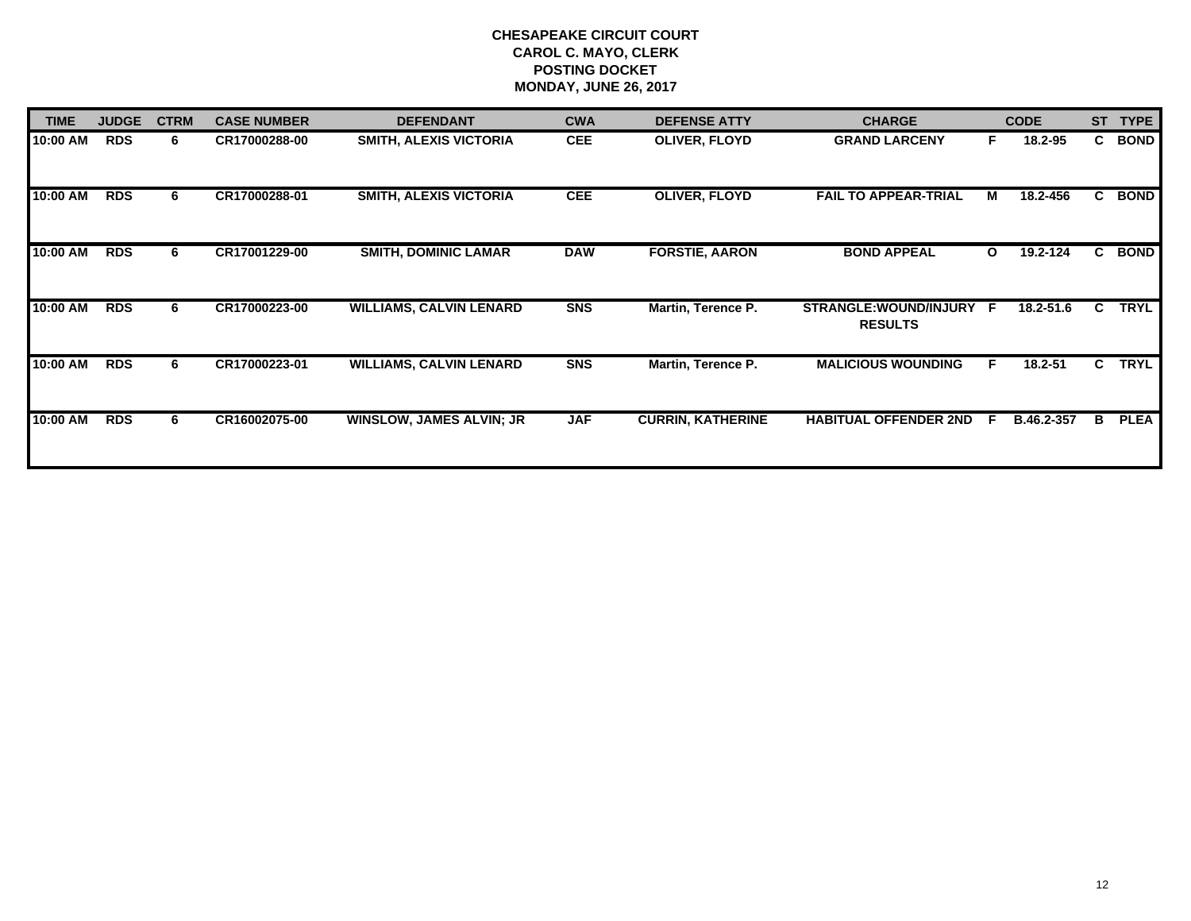| <b>TIME</b> | <b>JUDGE</b> | <b>CTRM</b> | <b>CASE NUMBER</b> | <b>DEFENDANT</b>                | <b>CWA</b> | <b>DEFENSE ATTY</b>      | <b>CHARGE</b>                            |              | <b>CODE</b> | <b>ST</b> | <b>TYPE</b> |
|-------------|--------------|-------------|--------------------|---------------------------------|------------|--------------------------|------------------------------------------|--------------|-------------|-----------|-------------|
| 10:00 AM    | <b>RDS</b>   | 6           | CR17000288-00      | <b>SMITH, ALEXIS VICTORIA</b>   | <b>CEE</b> | <b>OLIVER, FLOYD</b>     | <b>GRAND LARCENY</b>                     | F            | 18.2-95     | C.        | <b>BOND</b> |
| 10:00 AM    | <b>RDS</b>   | 6           | CR17000288-01      | <b>SMITH, ALEXIS VICTORIA</b>   | <b>CEE</b> | <b>OLIVER, FLOYD</b>     | <b>FAIL TO APPEAR-TRIAL</b>              | М            | 18.2-456    | C.        | <b>BOND</b> |
| 10:00 AM    | <b>RDS</b>   | 6.          | CR17001229-00      | <b>SMITH, DOMINIC LAMAR</b>     | <b>DAW</b> | <b>FORSTIE, AARON</b>    | <b>BOND APPEAL</b>                       | $\mathbf{o}$ | 19.2-124    | C.        | <b>BOND</b> |
| 10:00 AM    | <b>RDS</b>   | 6           | CR17000223-00      | <b>WILLIAMS, CALVIN LENARD</b>  | <b>SNS</b> | Martin, Terence P.       | STRANGLE: WOUND/INJURY<br><b>RESULTS</b> | - F          | 18.2-51.6   | C.        | <b>TRYL</b> |
| 10:00 AM    | <b>RDS</b>   | 6           | CR17000223-01      | <b>WILLIAMS, CALVIN LENARD</b>  | <b>SNS</b> | Martin, Terence P.       | <b>MALICIOUS WOUNDING</b>                | F.           | 18.2-51     | C.        | <b>TRYL</b> |
| 10:00 AM    | <b>RDS</b>   | 6.          | CR16002075-00      | <b>WINSLOW, JAMES ALVIN; JR</b> | <b>JAF</b> | <b>CURRIN, KATHERINE</b> | <b>HABITUAL OFFENDER 2ND</b>             | -F           | B.46.2-357  | В         | <b>PLEA</b> |